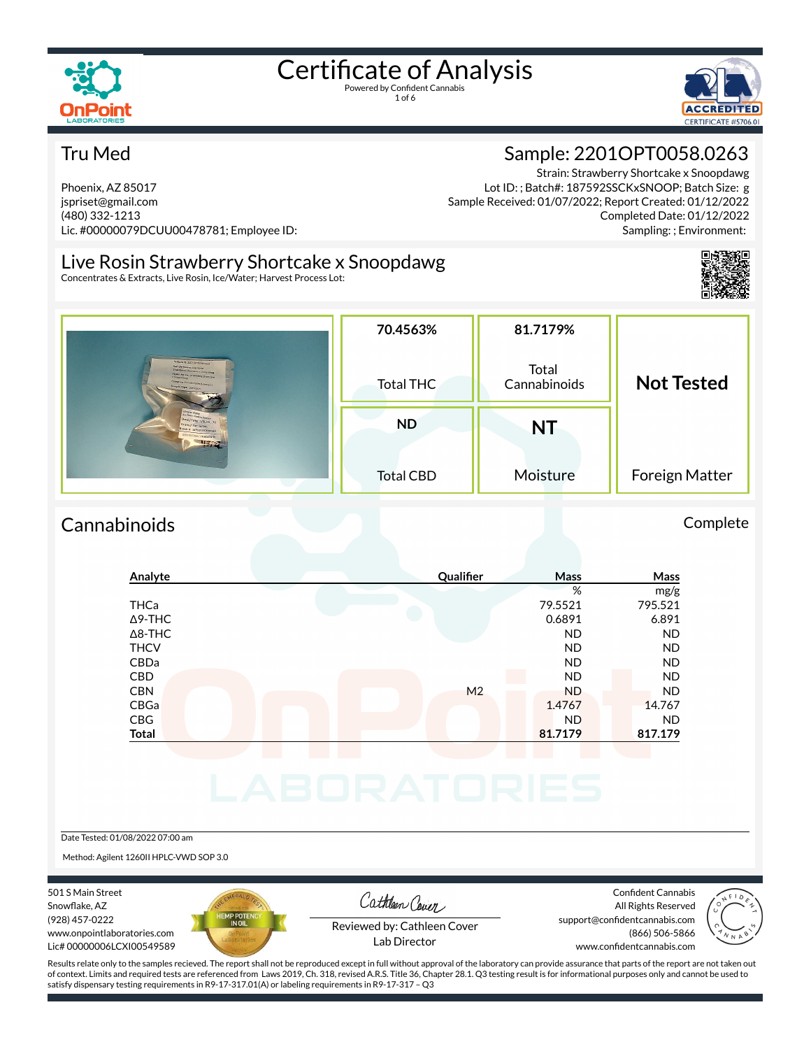

1 of 6



#### Tru Med

Phoenix, AZ 85017 jspriset@gmail.com (480) 332-1213 Lic. #00000079DCUU00478781; Employee ID:

Strain: Strawberry Shortcake x Snoopdawg Lot ID: ; Batch#: 187592SSCKxSNOOP; Batch Size: g Sample Received: 01/07/2022; Report Created: 01/12/2022 Completed Date: 01/12/2022

Sample: 2201OPT0058.0263

Live Rosin Strawberry Shortcake x Snoopdawg

Concentrates & Extracts, Live Rosin, Ice/Water; Harvest Process Lot:



Sampling: ; Environment:

|                                                                                                                                                                                                                                                                                                                                                                                                                                                                                           | 70.4563%         | 81.7179%              |                   |
|-------------------------------------------------------------------------------------------------------------------------------------------------------------------------------------------------------------------------------------------------------------------------------------------------------------------------------------------------------------------------------------------------------------------------------------------------------------------------------------------|------------------|-----------------------|-------------------|
| <b>State of Concession, National Concession, National Concession, National Concession, National Concession, National Concession, National Concession, National Concession, National Concession, National Concession, National Co</b><br>Samale (0) 22010/FT0054 0253<br>Simple Name: Use Krain<br>Streeterry Unit(ske a Sholpdays)<br><b>Strain Name: Stranberry Shortcase</b><br><b>N SPOOPMENT</b><br>Catagory: Concessivities & Extreme<br>Sample Type: Uve Rotin<br>$S \rightarrow P$ | <b>Total THC</b> | Total<br>Cannabinoids | <b>Not Tested</b> |
| Strain Nice:<br>Date/Temp: 1/06/22, 70<br>Gramu/ Tier. 6g Duy<br>Aston a: 187592550000000<br><b>COLORADO CONSTRUCTION</b>                                                                                                                                                                                                                                                                                                                                                                 | <b>ND</b>        | <b>NT</b>             |                   |
|                                                                                                                                                                                                                                                                                                                                                                                                                                                                                           | <b>Total CBD</b> | Moisture              | Foreign Matter    |

## Cannabinoids Complete

## **Analyte Qualier Mass Mass** % mg/g THCa 79.5521 795.521  $\Delta$ 9-THC 6.891 6.891 6.891 6.891 6.891 6.891 6.891 6.891 6.891 6.891 6.891 6.891 6.891 6.891 6.891 6.891 6.891 6.891 6.891 6.891 6.891 6.891 6.891 6.891 6.891 6.891 6.891 6.891 6.891 6.891 6.891 6.891 6.891 6.891 6.891 6 Δ8-THC ND ND THCV ND ND CBDa ND ND CBD A RESIDENCE OF A RESIDENCE OF A RESIDENCE OF A RESIDENCE OF A RESIDENCE OF A RESIDENCE OF A RESIDENCE OF A CBN M2 ND ND ND ND CBGa 1.4767 14.767 CBG ND ND **Total 81.7179 817.179**

Date Tested: 01/08/2022 07:00 am

Method: Agilent 1260II HPLC-VWD SOP 3.0

501 S Main Street Snowflake, AZ (928) 457-0222 www.onpointlaboratories.com Lic# 00000006LCXI00549589



Cathleen Cover

Confident Cannabis All Rights Reserved support@confidentcannabis.com (866) 506-5866



Reviewed by: Cathleen Cover Lab Director

www.confidentcannabis.com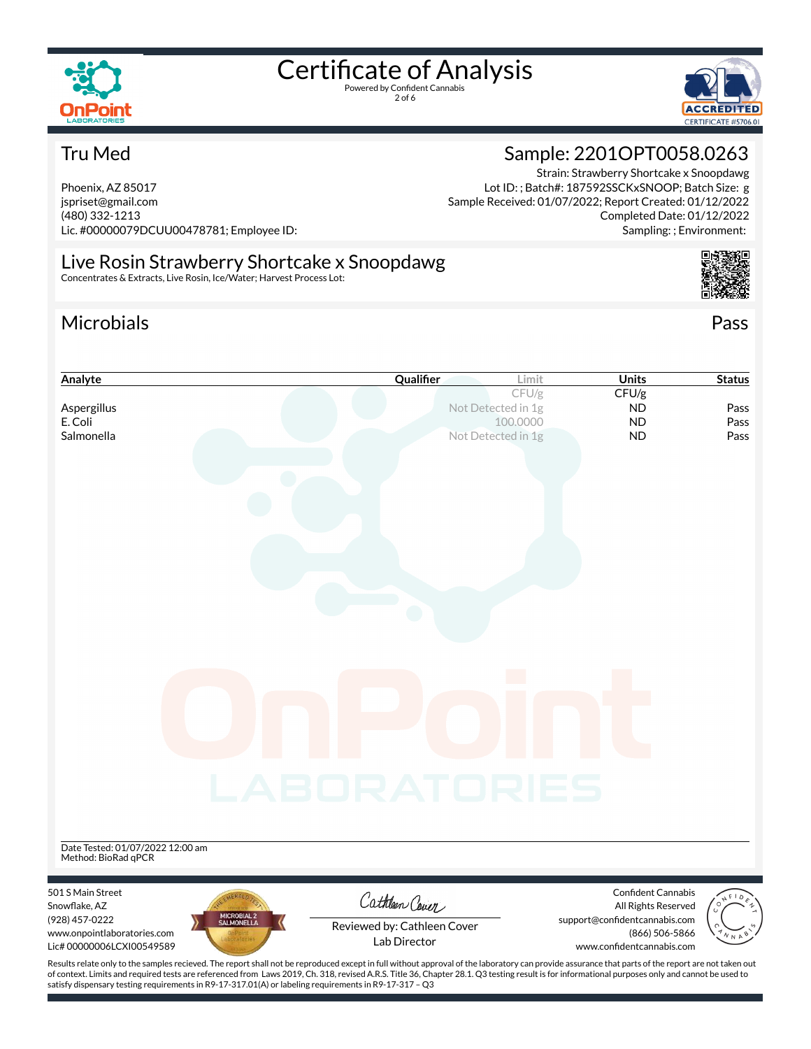

2 of 6



#### Tru Med

Phoenix, AZ 85017 jspriset@gmail.com (480) 332-1213 Lic. #00000079DCUU00478781; Employee ID:

#### Sample: 2201OPT0058.0263 Strain: Strawberry Shortcake x Snoopdawg

Lot ID: ; Batch#: 187592SSCKxSNOOP; Batch Size: g Sample Received: 01/07/2022; Report Created: 01/12/2022 Completed Date: 01/12/2022 Sampling: ; Environment:

#### Live Rosin Strawberry Shortcake x Snoopdawg Concentrates & Extracts, Live Rosin, Ice/Water; Harvest Process Lot:

satisfy dispensary testing requirements in R9-17-317.01(A) or labeling requirements in R9-17-317 – Q3

## Microbials Pass



| Analyte                                                                                                                                                                                                                                                                                                                                                                                               | Qualifier                   | Limit                          | <b>Units</b>                                | <b>Status</b> |
|-------------------------------------------------------------------------------------------------------------------------------------------------------------------------------------------------------------------------------------------------------------------------------------------------------------------------------------------------------------------------------------------------------|-----------------------------|--------------------------------|---------------------------------------------|---------------|
|                                                                                                                                                                                                                                                                                                                                                                                                       |                             | CFU/g                          | CFU/g                                       |               |
| Aspergillus<br>E. Coli                                                                                                                                                                                                                                                                                                                                                                                |                             | Not Detected in 1g<br>100,0000 | <b>ND</b><br><b>ND</b>                      | Pass<br>Pass  |
| Salmonella                                                                                                                                                                                                                                                                                                                                                                                            |                             | Not Detected in 1g             | <b>ND</b>                                   | Pass          |
|                                                                                                                                                                                                                                                                                                                                                                                                       |                             |                                |                                             |               |
|                                                                                                                                                                                                                                                                                                                                                                                                       |                             |                                |                                             |               |
|                                                                                                                                                                                                                                                                                                                                                                                                       |                             |                                |                                             |               |
|                                                                                                                                                                                                                                                                                                                                                                                                       |                             |                                |                                             |               |
|                                                                                                                                                                                                                                                                                                                                                                                                       |                             |                                |                                             |               |
|                                                                                                                                                                                                                                                                                                                                                                                                       |                             |                                |                                             |               |
|                                                                                                                                                                                                                                                                                                                                                                                                       |                             |                                |                                             |               |
|                                                                                                                                                                                                                                                                                                                                                                                                       |                             |                                |                                             |               |
|                                                                                                                                                                                                                                                                                                                                                                                                       |                             |                                |                                             |               |
|                                                                                                                                                                                                                                                                                                                                                                                                       |                             |                                |                                             |               |
|                                                                                                                                                                                                                                                                                                                                                                                                       |                             |                                |                                             |               |
|                                                                                                                                                                                                                                                                                                                                                                                                       |                             |                                |                                             |               |
|                                                                                                                                                                                                                                                                                                                                                                                                       |                             |                                |                                             |               |
|                                                                                                                                                                                                                                                                                                                                                                                                       |                             |                                |                                             |               |
|                                                                                                                                                                                                                                                                                                                                                                                                       |                             |                                |                                             |               |
|                                                                                                                                                                                                                                                                                                                                                                                                       |                             |                                |                                             |               |
|                                                                                                                                                                                                                                                                                                                                                                                                       |                             |                                |                                             |               |
|                                                                                                                                                                                                                                                                                                                                                                                                       |                             |                                |                                             |               |
|                                                                                                                                                                                                                                                                                                                                                                                                       |                             |                                |                                             |               |
|                                                                                                                                                                                                                                                                                                                                                                                                       | <b>LABORATORIES</b>         |                                |                                             |               |
|                                                                                                                                                                                                                                                                                                                                                                                                       |                             |                                |                                             |               |
|                                                                                                                                                                                                                                                                                                                                                                                                       |                             |                                |                                             |               |
| Date Tested: 01/07/2022 12:00 am                                                                                                                                                                                                                                                                                                                                                                      |                             |                                |                                             |               |
| Method: BioRad qPCR                                                                                                                                                                                                                                                                                                                                                                                   |                             |                                |                                             |               |
| 501 S Main Street                                                                                                                                                                                                                                                                                                                                                                                     |                             |                                | Confident Cannabis                          |               |
| Snowflake, AZ                                                                                                                                                                                                                                                                                                                                                                                         | Cathleen Cover              |                                | All Rights Reserved                         |               |
| MICROBIAL 2<br>SALMONELLA<br>(928) 457-0222                                                                                                                                                                                                                                                                                                                                                           | Reviewed by: Cathleen Cover |                                | support@confidentcannabis.com               |               |
| www.onpointlaboratories.com<br>Lic# 00000006LCXI00549589                                                                                                                                                                                                                                                                                                                                              | Lab Director                |                                | (866) 506-5866<br>www.confidentcannabis.com |               |
|                                                                                                                                                                                                                                                                                                                                                                                                       |                             |                                |                                             |               |
| Results relate only to the samples recieved. The report shall not be reproduced except in full without approval of the laboratory can provide assurance that parts of the report are not taken out<br>of context. Limits and required tests are referenced from Laws 2019, Ch. 318, revised A.R.S. Title 36, Chapter 28.1. Q3 testing result is for informational purposes only and cannot be used to |                             |                                |                                             |               |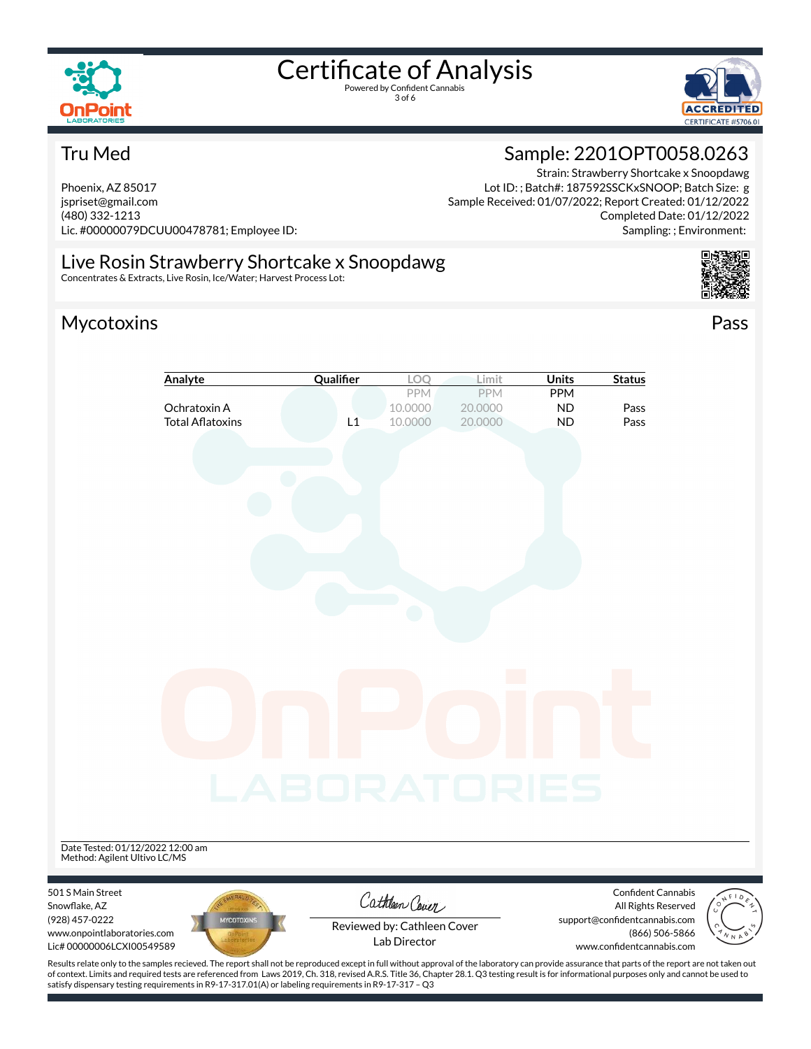

3 of 6



#### Tru Med

Phoenix, AZ 85017 jspriset@gmail.com (480) 332-1213 Lic. #00000079DCUU00478781; Employee ID: Sample: 2201OPT0058.0263 Strain: Strawberry Shortcake x Snoopdawg

Lot ID: ; Batch#: 187592SSCKxSNOOP; Batch Size: g Sample Received: 01/07/2022; Report Created: 01/12/2022 Completed Date: 01/12/2022 Sampling: ; Environment:

## Live Rosin Strawberry Shortcake x Snoopdawg

Concentrates & Extracts, Live Rosin, Ice/Water; Harvest Process Lot:

# Mycotoxins Pass

501 S Main Street Snowflake, AZ (928) 457-0222



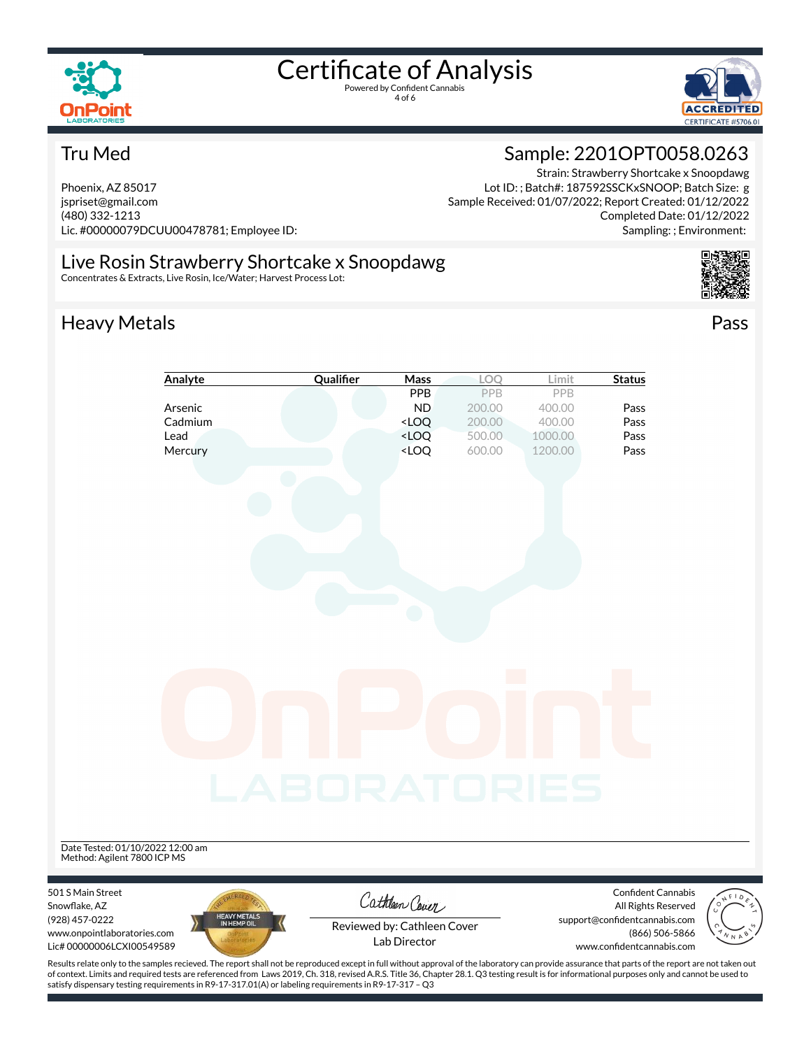

4 of 6





#### Tru Med

Phoenix, AZ 85017 jspriset@gmail.com (480) 332-1213 Lic. #00000079DCUU00478781; Employee ID: Sample: 2201OPT0058.0263 Strain: Strawberry Shortcake x Snoopdawg

Lot ID: ; Batch#: 187592SSCKxSNOOP; Batch Size: g Sample Received: 01/07/2022; Report Created: 01/12/2022 Completed Date: 01/12/2022 Sampling: ; Environment:

#### Live Rosin Strawberry Shortcake x Snoopdawg

Concentrates & Extracts, Live Rosin, Ice/Water; Harvest Process Lot:

# Heavy Metals **Pass**



|                                                                                                                                                                                                    | Analyte                     | Qualifier           | Mass                                                                     | LOO                        | Limit   | <b>Status</b>                                                                |  |
|----------------------------------------------------------------------------------------------------------------------------------------------------------------------------------------------------|-----------------------------|---------------------|--------------------------------------------------------------------------|----------------------------|---------|------------------------------------------------------------------------------|--|
|                                                                                                                                                                                                    |                             |                     | PPB                                                                      | PPB                        | PPB     |                                                                              |  |
|                                                                                                                                                                                                    | Arsenic                     |                     | <b>ND</b>                                                                | 200.00                     | 400.00  | Pass                                                                         |  |
|                                                                                                                                                                                                    | Cadmium                     |                     | <loq< th=""><th>200.00</th><th>400.00</th><th>Pass</th><th></th></loq<>  | 200.00                     | 400.00  | Pass                                                                         |  |
| Lead                                                                                                                                                                                               |                             |                     | <loq< td=""><td>500.00</td><td>1000.00</td><td>Pass</td><td></td></loq<> | 500.00                     | 1000.00 | Pass                                                                         |  |
|                                                                                                                                                                                                    | Mercury                     |                     | <loq< td=""><td>600.00</td><td>1200.00</td><td>Pass</td><td></td></loq<> | 600.00                     | 1200.00 | Pass                                                                         |  |
| Date Tested: 01/10/2022 12:00 am<br>Method: Agilent 7800 ICP MS                                                                                                                                    |                             | <b>_ABORATORIES</b> |                                                                          | $\mathcal{O}(\mathcal{O})$ |         |                                                                              |  |
| 501 S Main Street<br>Snowflake, AZ                                                                                                                                                                 |                             |                     | Cathleen Cover                                                           |                            |         | <b>Confident Cannabis</b><br>All Rights Reserved                             |  |
| (928) 457-0222<br>www.onpointlaboratories.com<br>Lic# 00000006LCXI00549589                                                                                                                         | HEAVY METALS<br>IN HEMP OIL |                     | Reviewed by: Cathleen Cover<br>Lab Director                              |                            |         | support@confidentcannabis.com<br>(866) 506-5866<br>www.confidentcannabis.com |  |
| Results relate only to the samples recieved. The report shall not be reproduced except in full without approval of the laboratory can provide assurance that parts of the report are not taken out |                             |                     |                                                                          |                            |         |                                                                              |  |

Results relate only to the samples recieved. The report shall not be reproduced except in full without approval of the laboratory can provide assurance that parts of the report are not taken out<br>of context. Limits and requ satisfy dispensary testing requirements in R9-17-317.01(A) or labeling requirements in R9-17-317 – Q3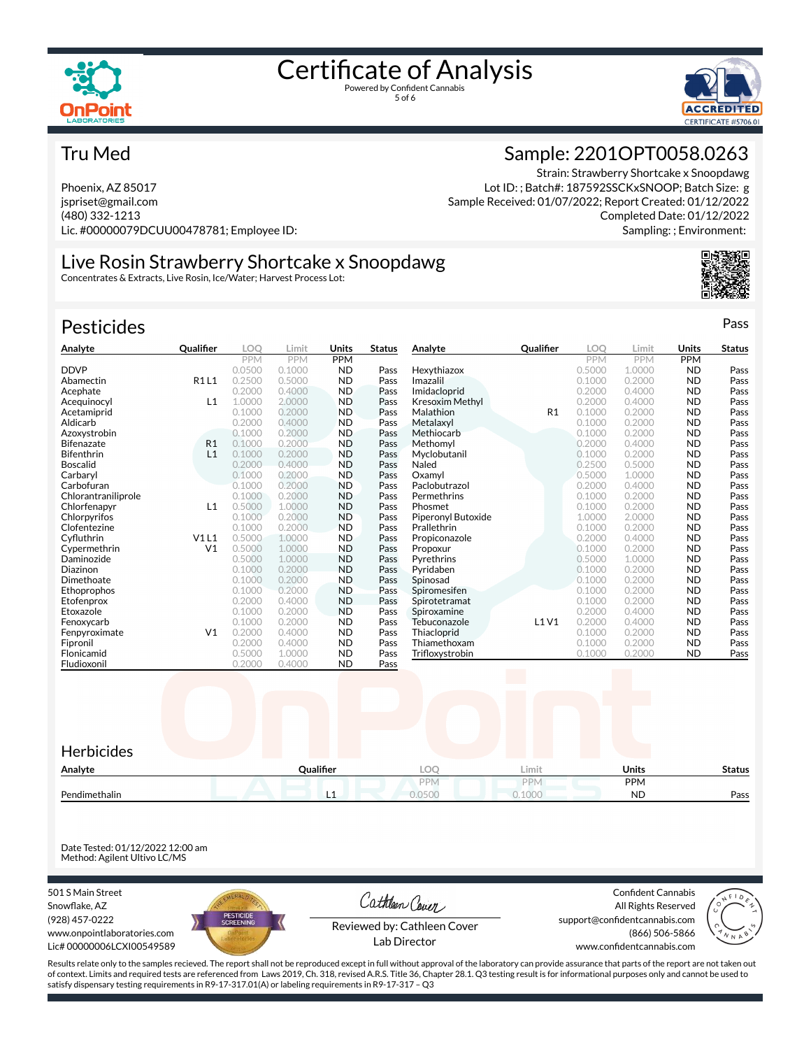



Sample: 2201OPT0058.0263

Lot ID: ; Batch#: 187592SSCKxSNOOP; Batch Size: g Sample Received: 01/07/2022; Report Created: 01/12/2022

Strain: Strawberry Shortcake x Snoopdawg

Completed Date: 01/12/2022 Sampling: ; Environment:

#### Tru Med

Phoenix, AZ 85017 jspriset@gmail.com (480) 332-1213 Lic. #00000079DCUU00478781; Employee ID:

# Live Rosin Strawberry Shortcake x Snoopdawg

Concentrates & Extracts, Live Rosin, Ice/Water; Harvest Process Lot:

## Pesticides **Passage Contract Contract Contract Contract Contract Contract Contract Contract Contract Contract Contract Contract Contract Contract Contract Contract Contract Contract Contract Contract Contract Contract Cont**

| Analyte             | <b>Qualifier</b> | LOO        | Limit      | Units      | <b>Status</b> | Analyte                | <b>Qualifier</b>  | <b>LOO</b> | Limit                    | Units      | <b>Status</b> |
|---------------------|------------------|------------|------------|------------|---------------|------------------------|-------------------|------------|--------------------------|------------|---------------|
|                     |                  | <b>PPM</b> | <b>PPM</b> | <b>PPM</b> |               |                        |                   | <b>PPM</b> | <b>PPM</b>               | <b>PPM</b> |               |
| <b>DDVP</b>         |                  | 0.0500     | 0.1000     | <b>ND</b>  | Pass          | Hexythiazox            |                   | 0.5000     | 1.0000                   | <b>ND</b>  | Pass          |
| Abamectin           | <b>R1L1</b>      | 0.2500     | 0.5000     | <b>ND</b>  | Pass          | Imazalil               |                   | 0.1000     | 0.2000                   | <b>ND</b>  | Pass          |
| Acephate            |                  | 0.2000     | 0.4000     | <b>ND</b>  | Pass          | Imidacloprid           |                   | 0.2000     | 0.4000                   | <b>ND</b>  | Pass          |
| Acequinocyl         | L1               | 1.0000     | 2,0000     | <b>ND</b>  | Pass          | <b>Kresoxim Methyl</b> |                   | 0.2000     | 0.4000                   | <b>ND</b>  | Pass          |
| Acetamiprid         |                  | 0.1000     | 0.2000     | <b>ND</b>  | Pass          | Malathion              | R <sub>1</sub>    | 0.1000     | 0.2000                   | <b>ND</b>  | Pass          |
| Aldicarb            |                  | 0.2000     | 0.4000     | <b>ND</b>  | Pass          | Metalaxyl              |                   | 0.1000     | 0.2000                   | <b>ND</b>  | Pass          |
| Azoxystrobin        |                  | 0.1000     | 0.2000     | <b>ND</b>  | Pass          | Methiocarb             |                   | 0.1000     | 0.2000                   | <b>ND</b>  | Pass          |
| <b>Bifenazate</b>   | R <sub>1</sub>   | 0.1000     | 0.2000     | <b>ND</b>  | Pass          | Methomyl               |                   | 0.2000     | 0.4000                   | <b>ND</b>  | Pass          |
| <b>Bifenthrin</b>   | L1               | 0.1000     | 0.2000     | <b>ND</b>  | Pass          | Myclobutanil           |                   | 0.1000     | 0.2000                   | <b>ND</b>  | Pass          |
| <b>Boscalid</b>     |                  | 0.2000     | 0.4000     | <b>ND</b>  | Pass          | Naled                  |                   | 0.2500     | 0.5000                   | <b>ND</b>  | Pass          |
| Carbaryl            |                  | 0.1000     | 0.2000     | <b>ND</b>  | Pass          | Oxamvl                 |                   | 0.5000     | 1.0000                   | <b>ND</b>  | Pass          |
| Carbofuran          |                  | 0.1000     | 0.2000     | <b>ND</b>  | Pass          | Paclobutrazol          |                   | 0.2000     | 0.4000                   | <b>ND</b>  | Pass          |
| Chlorantraniliprole |                  | 0.1000     | 0.2000     | <b>ND</b>  | Pass          | Permethrins            |                   | 0.1000     | 0.2000                   | <b>ND</b>  | Pass          |
| Chlorfenapyr        | L1               | 0.5000     | 1.0000     | <b>ND</b>  | Pass          | Phosmet                |                   | 0.1000     | 0.2000                   | <b>ND</b>  | Pass          |
| Chlorpyrifos        |                  | 0.1000     | 0.2000     | <b>ND</b>  | Pass          | Piperonyl Butoxide     |                   | 1.0000     | 2.0000                   | <b>ND</b>  | Pass          |
| Clofentezine        |                  | 0.1000     | 0.2000     | <b>ND</b>  | Pass          | Prallethrin            |                   | 0.1000     | 0.2000                   | <b>ND</b>  | Pass          |
| Cyfluthrin          | V1L1             | 0.5000     | 1.0000     | <b>ND</b>  | Pass          | Propiconazole          |                   | 0.2000     | 0.4000                   | <b>ND</b>  | Pass          |
| Cypermethrin        | V <sub>1</sub>   | 0.5000     | 1.0000     | <b>ND</b>  | Pass          | Propoxur               |                   | 0.1000     | 0.2000                   | <b>ND</b>  | Pass          |
| Daminozide          |                  | 0.5000     | 1.0000     | <b>ND</b>  | Pass          | Pyrethrins             |                   | 0.5000     | 1.0000                   | <b>ND</b>  | Pass          |
| Diazinon            |                  | 0.1000     | 0.2000     | <b>ND</b>  | Pass          | Pyridaben              |                   | 0.1000     | 0.2000                   | <b>ND</b>  | Pass          |
| Dimethoate          |                  | 0.1000     | 0.2000     | <b>ND</b>  | Pass          | Spinosad               |                   | 0.1000     | 0.2000                   | <b>ND</b>  | Pass          |
| Ethoprophos         |                  | 0.1000     | 0.2000     | <b>ND</b>  | Pass          | Spiromesifen           |                   | 0.1000     | 0.2000                   | <b>ND</b>  | Pass          |
| Etofenprox          |                  | 0.2000     | 0.4000     | <b>ND</b>  | Pass          | Spirotetramat          |                   | 0.1000     | 0.2000                   | <b>ND</b>  | Pass          |
| Etoxazole           |                  | 0.1000     | 0.2000     | <b>ND</b>  | Pass          | Spiroxamine            |                   | 0.2000     | 0.4000                   | <b>ND</b>  | Pass          |
| Fenoxycarb          |                  | 0.1000     | 0.2000     | <b>ND</b>  | Pass          | Tebuconazole           | L1V1              | 0.2000     | 0.4000                   | <b>ND</b>  | Pass          |
| Fenpyroximate       | V <sub>1</sub>   | 0.2000     | 0.4000     | <b>ND</b>  | Pass          | Thiacloprid            |                   | 0.1000     | 0.2000                   | <b>ND</b>  | Pass          |
| Fipronil            |                  | 0.2000     | 0.4000     | <b>ND</b>  | Pass          | Thiamethoxam           |                   | 0.1000     | 0.2000                   | <b>ND</b>  | Pass          |
| Flonicamid          |                  | 0.5000     | 1.0000     | <b>ND</b>  | Pass          | Trifloxystrobin        |                   | 0.1000     | 0.2000                   | <b>ND</b>  | Pass          |
| Fludioxonil         |                  | 0.2000     | 0.4000     | <b>ND</b>  | Pass          |                        | <b>The Common</b> |            | <b>Contract Contract</b> |            |               |



Date Tested: 01/12/2022 12:00 am Method: Agilent Ultivo LC/MS

501 S Main Street Snowflake, AZ (928) 457-0222 www.onpointlaboratories.com Lic# 00000006LCXI00549589



Cathleen Cover

Confident Cannabis All Rights Reserved support@confidentcannabis.com (866) 506-5866



Reviewed by: Cathleen Cover Lab Director

www.confidentcannabis.com